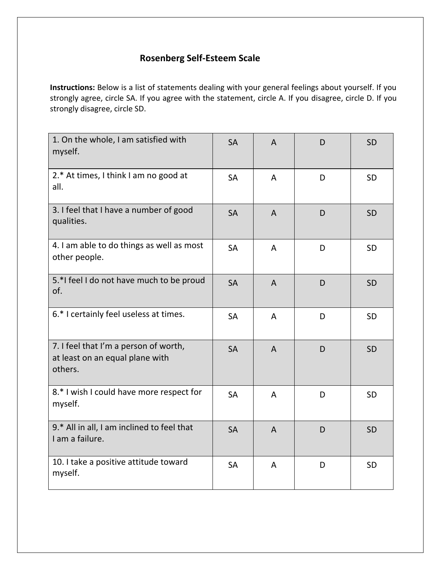## **Rosenberg Self-Esteem Scale**

**Instructions:** Below is a list of statements dealing with your general feelings about yourself. If you strongly agree, circle SA. If you agree with the statement, circle A. If you disagree, circle D. If you strongly disagree, circle SD.

| 1. On the whole, I am satisfied with<br>myself.                                     | <b>SA</b> | A              | D | <b>SD</b> |
|-------------------------------------------------------------------------------------|-----------|----------------|---|-----------|
| 2.* At times, I think I am no good at<br>all.                                       | <b>SA</b> | $\mathsf{A}$   | D | <b>SD</b> |
| 3. I feel that I have a number of good<br>qualities.                                | <b>SA</b> | $\overline{A}$ | D | <b>SD</b> |
| 4. I am able to do things as well as most<br>other people.                          | <b>SA</b> | A              | D | <b>SD</b> |
| 5.*I feel I do not have much to be proud<br>of.                                     | <b>SA</b> | $\overline{A}$ | D | <b>SD</b> |
| 6.* I certainly feel useless at times.                                              | <b>SA</b> | A              | D | <b>SD</b> |
| 7. I feel that I'm a person of worth,<br>at least on an equal plane with<br>others. | <b>SA</b> | $\overline{A}$ | D | <b>SD</b> |
| 8.* I wish I could have more respect for<br>myself.                                 | <b>SA</b> | A              | D | <b>SD</b> |
| 9.* All in all, I am inclined to feel that<br>I am a failure.                       | <b>SA</b> | $\overline{A}$ | D | <b>SD</b> |
| 10. I take a positive attitude toward<br>myself.                                    | <b>SA</b> | A              | D | <b>SD</b> |